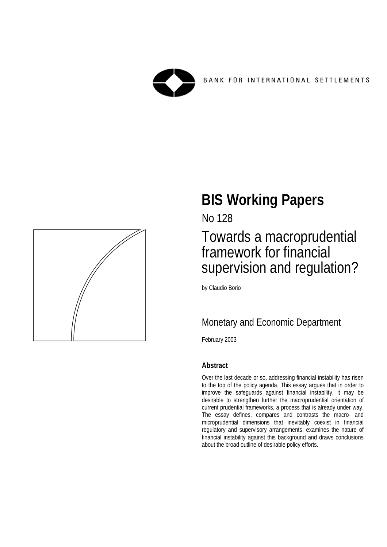



# **BIS Working Papers**

No 128

## Towards a macroprudential framework for financial supervision and regulation?

by Claudio Borio

## Monetary and Economic Department

February 2003

## **Abstract**

Over the last decade or so, addressing financial instability has risen to the top of the policy agenda. This essay argues that in order to improve the safeguards against financial instability, it may be desirable to strengthen further the macroprudential orientation of current prudential frameworks, a process that is already under way. The essay defines, compares and contrasts the macro- and microprudential dimensions that inevitably coexist in financial regulatory and supervisory arrangements, examines the nature of financial instability against this background and draws conclusions about the broad outline of desirable policy efforts.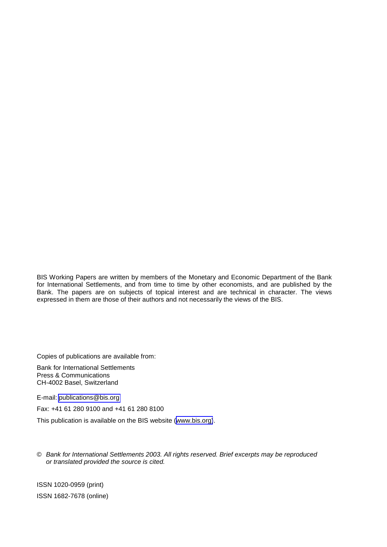BIS Working Papers are written by members of the Monetary and Economic Department of the Bank for International Settlements, and from time to time by other economists, and are published by the Bank. The papers are on subjects of topical interest and are technical in character. The views expressed in them are those of their authors and not necessarily the views of the BIS.

Copies of publications are available from:

Bank for International Settlements Press & Communications CH-4002 Basel, Switzerland

E-mail: [publications@bis.org](mailto:publications@bis.org) 

Fax: +41 61 280 9100 and +41 61 280 8100

This publication is available on the BIS website ([www.bis.org\)](http://www.bis.org/).

© *Bank for International Settlements 2003. All rights reserved. Brief excerpts may be reproduced or translated provided the source is cited.* 

ISSN 1020-0959 (print) ISSN 1682-7678 (online)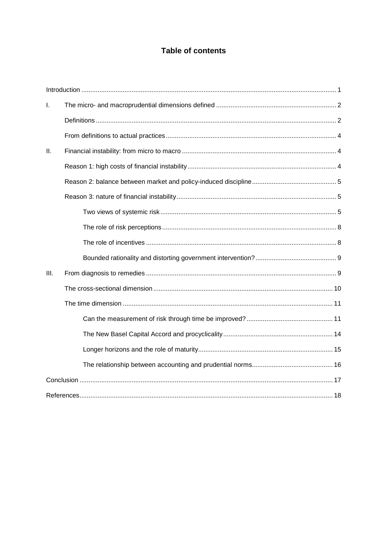## **Table of contents**

| Ι.   |  |  |  |  |  |
|------|--|--|--|--|--|
|      |  |  |  |  |  |
|      |  |  |  |  |  |
| II.  |  |  |  |  |  |
|      |  |  |  |  |  |
|      |  |  |  |  |  |
|      |  |  |  |  |  |
|      |  |  |  |  |  |
|      |  |  |  |  |  |
|      |  |  |  |  |  |
|      |  |  |  |  |  |
| III. |  |  |  |  |  |
|      |  |  |  |  |  |
|      |  |  |  |  |  |
|      |  |  |  |  |  |
|      |  |  |  |  |  |
|      |  |  |  |  |  |
|      |  |  |  |  |  |
|      |  |  |  |  |  |
|      |  |  |  |  |  |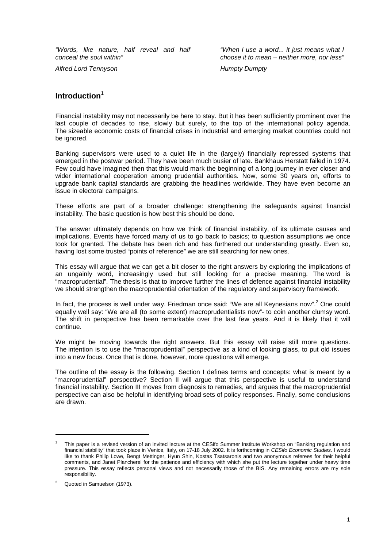*"Words, like nature, half reveal and half conceal the soul within"* 

*Alfred Lord Tennyson* 

 *"When I use a word... it just means what I choose it to mean – neither more, nor less"* 

*Humpty Dumpty* 

### **Introduction**<sup>1</sup>

Financial instability may not necessarily be here to stay. But it has been sufficiently prominent over the last couple of decades to rise, slowly but surely, to the top of the international policy agenda. The sizeable economic costs of financial crises in industrial and emerging market countries could not be ignored.

Banking supervisors were used to a quiet life in the (largely) financially repressed systems that emerged in the postwar period. They have been much busier of late. Bankhaus Herstatt failed in 1974. Few could have imagined then that this would mark the beginning of a long journey in ever closer and wider international cooperation among prudential authorities. Now, some 30 years on, efforts to upgrade bank capital standards are grabbing the headlines worldwide. They have even become an issue in electoral campaigns.

These efforts are part of a broader challenge: strengthening the safeguards against financial instability. The basic question is how best this should be done.

The answer ultimately depends on how we think of financial instability, of its ultimate causes and implications. Events have forced many of us to go back to basics; to question assumptions we once took for granted. The debate has been rich and has furthered our understanding greatly. Even so, having lost some trusted "points of reference" we are still searching for new ones.

This essay will argue that we can get a bit closer to the right answers by exploring the implications of an ungainly word, increasingly used but still looking for a precise meaning. The word is "macroprudential". The thesis is that to improve further the lines of defence against financial instability we should strengthen the macroprudential orientation of the regulatory and supervisory framework.

In fact, the process is well under way. Friedman once said: "We are all Keynesians now".<sup>2</sup> One could equally well say: "We are all (to some extent) macroprudentialists now"- to coin another clumsy word. The shift in perspective has been remarkable over the last few years. And it is likely that it will continue.

We might be moving towards the right answers. But this essay will raise still more questions. The intention is to use the "macroprudential" perspective as a kind of looking glass, to put old issues into a new focus. Once that is done, however, more questions will emerge.

The outline of the essay is the following. Section I defines terms and concepts: what is meant by a "macroprudential" perspective? Section II will argue that this perspective is useful to understand financial instability. Section III moves from diagnosis to remedies, and argues that the macroprudential perspective can also be helpful in identifying broad sets of policy responses. Finally, some conclusions are drawn.

<sup>1</sup> This paper is a revised version of an invited lecture at the CESifo Summer Institute Workshop on "Banking regulation and financial stability" that took place in Venice, Italy, on 17-18 July 2002. It is forthcoming in *CESifo Economic Studies*. I would like to thank Philip Lowe, Bengt Mettinger, Hyun Shin, Kostas Tsatsaronis and two anonymous referees for their helpful comments, and Janet Plancherel for the patience and efficiency with which she put the lecture together under heavy time pressure. This essay reflects personal views and not necessarily those of the BIS. Any remaining errors are my sole responsibility.

 $\overline{2}$ Quoted in Samuelson (1973).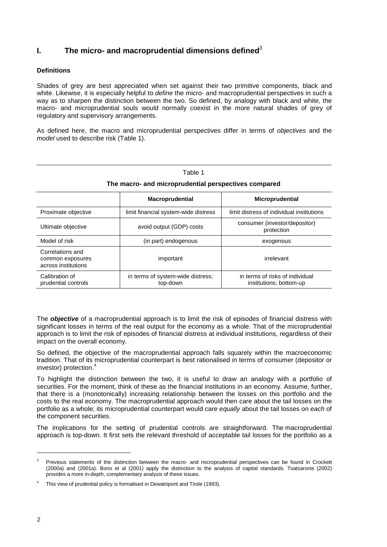## **I.** The micro- and macroprudential dimensions defined<sup>3</sup>

#### **Definitions**

Shades of grey are best appreciated when set against their two primitive components, black and white. Likewise, it is especially helpful to *define* the micro- and macroprudential perspectives in such a way as to sharpen the distinction between the two. So defined, by analogy with black and white, the macro- and microprudential souls would normally coexist in the more natural shades of grey of regulatory and supervisory arrangements.

As defined here, the macro and microprudential perspectives differ in terms of *objectives* and the *model* used to describe risk (Table 1).

| Table 1                                                     |                                               |                                                            |  |  |  |  |  |  |
|-------------------------------------------------------------|-----------------------------------------------|------------------------------------------------------------|--|--|--|--|--|--|
| The macro- and microprudential perspectives compared        |                                               |                                                            |  |  |  |  |  |  |
|                                                             | <b>Macroprudential</b>                        | <b>Microprudential</b>                                     |  |  |  |  |  |  |
| Proximate objective                                         | limit financial system-wide distress          | limit distress of individual institutions                  |  |  |  |  |  |  |
| Ultimate objective                                          | avoid output (GDP) costs                      | consumer (investor/depositor)<br>protection                |  |  |  |  |  |  |
| Model of risk                                               | (in part) endogenous                          | exogenous                                                  |  |  |  |  |  |  |
| Correlations and<br>common exposures<br>across institutions | important                                     | irrelevant                                                 |  |  |  |  |  |  |
| Calibration of<br>prudential controls                       | in terms of system-wide distress;<br>top-down | in terms of risks of individual<br>institutions; bottom-up |  |  |  |  |  |  |

The *objective* of a macroprudential approach is to limit the risk of episodes of financial distress with significant losses in terms of the real output for the economy as a whole. That of the microprudential approach is to limit the risk of episodes of financial distress at individual institutions, regardless of their impact on the overall economy.

So defined, the objective of the macroprudential approach falls squarely within the macroeconomic tradition. That of its microprudential counterpart is best rationalised in terms of consumer (depositor or investor) protection.<sup>4</sup>

To highlight the distinction between the two, it is useful to draw an analogy with a portfolio of securities. For the moment, think of these as the financial institutions in an economy. Assume, further, that there is a (monotonically) increasing relationship between the losses on this portfolio and the costs to the real economy. The macroprudential approach would then care about the tail losses on the portfolio as a whole; its microprudential counterpart would care *equally* about the tail losses on *each* of the component securities.

The implications for the setting of prudential controls are straightforward. The macroprudential approach is top-down. It first sets the relevant threshold of acceptable tail losses for the portfolio as a

<sup>3</sup> Previous statements of the distinction between the macro- and microprudential perspectives can be found in Crockett (2000a) and (2001a). Borio et al (2001) apply the distinction to the analysis of capital standards. Tsatsaronis (2002) provides a more in-depth, complementary analysis of these issues.

<sup>4</sup> This view of prudential policy is formalised in Dewatripont and Tirole (1993).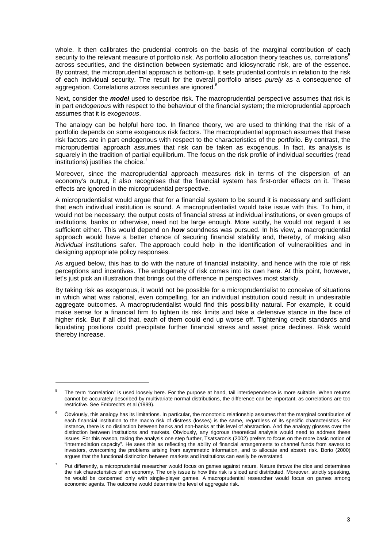whole. It then calibrates the prudential controls on the basis of the marginal contribution of each security to the relevant measure of portfolio risk. As portfolio allocation theory teaches us, correlations<sup>5</sup> across securities, and the distinction between systematic and idiosyncratic risk, are of the essence. By contrast, the microprudential approach is bottom-up. It sets prudential controls in relation to the risk of each individual security. The result for the overall portfolio arises *purely* as a consequence of aggregation. Correlations across securities are ignored.<sup>6</sup>

Next, consider the *model* used to describe risk. The macroprudential perspective assumes that risk is in part *endogenous* with respect to the behaviour of the financial system; the microprudential approach assumes that it is *exogenous*.

The analogy can be helpful here too. In finance theory, we are used to thinking that the risk of a portfolio depends on some exogenous risk factors. The macroprudential approach assumes that these risk factors are in part endogenous with respect to the characteristics of the portfolio. By contrast, the microprudential approach assumes that risk can be taken as exogenous. In fact, its analysis is squarely in the tradition of partial equilibrium. The focus on the risk profile of individual securities (read institutions) justifies the choice.<sup>7</sup>

Moreover, since the macroprudential approach measures risk in terms of the dispersion of an economy's output, it also recognises that the financial system has first-order effects on it. These effects are ignored in the microprudential perspective.

A microprudentialist would argue that for a financial system to be sound it is necessary and sufficient that each individual institution is sound. A macroprudentialist would take issue with this. To him, it would not be necessary: the output costs of financial stress at individual institutions, or even groups of institutions, banks or otherwise, need not be large enough. More subtly, he would not regard it as sufficient either. This would depend on *how* soundness was pursued. In his view, a macroprudential approach would have a better chance of securing financial stability and, thereby, of making also *individual* institutions safer. The approach could help in the identification of vulnerabilities and in designing appropriate policy responses.

As argued below, this has to do with the nature of financial instability, and hence with the role of risk perceptions and incentives. The endogeneity of risk comes into its own here. At this point, however, let's just pick an illustration that brings out the difference in perspectives most starkly.

By taking risk as exogenous, it would not be possible for a microprudentialist to conceive of situations in which what was rational, even compelling, for an individual institution could result in undesirable aggregate outcomes. A macroprudentialist would find this possibility natural. For example, it could make sense for a financial firm to tighten its risk limits and take a defensive stance in the face of higher risk. But if all did that, each of them could end up worse off. Tightening credit standards and liquidating positions could precipitate further financial stress and asset price declines. Risk would thereby increase.

<sup>5</sup> The term "correlation" is used loosely here. For the purpose at hand, tail interdependence is more suitable. When returns cannot be accurately described by multivariate normal distributions, the difference can be important, as correlations are too restrictive. See Embrechts et al (1999).

<sup>6</sup> Obviously, this analogy has its limitations. In particular, the monotonic relationship assumes that the marginal contribution of each financial institution to the macro risk of distress (losses) is the same, regardless of its specific characteristics. For instance, there is no distinction between banks and non-banks at this level of abstraction. And the analogy glosses over the distinction between institutions and markets. Obviously, any rigorous theoretical analysis would need to address these issues. For this reason, taking the analysis one step further, Tsatsaronis (2002) prefers to focus on the more basic notion of "intermediation capacity". He sees this as reflecting the ability of financial arrangements to channel funds from savers to investors, overcoming the problems arising from asymmetric information, and to allocate and absorb risk. Borio (2000) argues that the functional distinction between markets and institutions can easily be overstated.

<sup>7</sup> Put differently, a microprudential researcher would focus on games against nature. Nature throws the dice and determines the risk characteristics of an economy. The only issue is how this risk is sliced and distributed. Moreover, strictly speaking, he would be concerned only with single-player games. A macroprudential researcher would focus on games among economic agents. The outcome would determine the level of aggregate risk.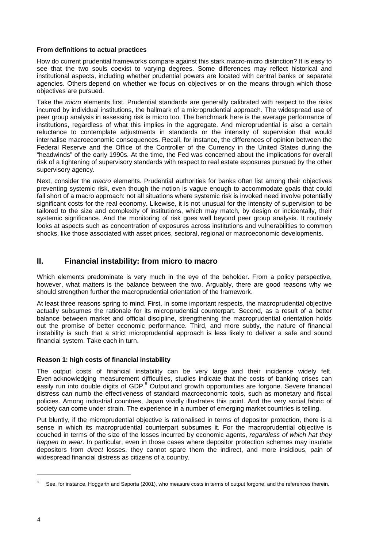#### **From definitions to actual practices**

How do current prudential frameworks compare against this stark macro-micro distinction? It is easy to see that the two souls coexist to varying degrees. Some differences may reflect historical and institutional aspects, including whether prudential powers are located with central banks or separate agencies. Others depend on whether we focus on objectives or on the means through which those objectives are pursued.

Take the *micro* elements first. Prudential standards are generally calibrated with respect to the risks incurred by individual institutions, the hallmark of a microprudential approach. The widespread use of peer group analysis in assessing risk is micro too. The benchmark here is the average performance of institutions, regardless of what this implies in the aggregate. And microprudential is also a certain reluctance to contemplate adjustments in standards or the intensity of supervision that would internalise macroeconomic consequences. Recall, for instance, the differences of opinion between the Federal Reserve and the Office of the Controller of the Currency in the United States during the "headwinds" of the early 1990s. At the time, the Fed was concerned about the implications for overall risk of a tightening of supervisory standards with respect to real estate exposures pursued by the other supervisory agency.

Next, consider the *macro* elements. Prudential authorities for banks often list among their objectives preventing systemic risk, even though the notion is vague enough to accommodate goals that could fall short of a macro approach: not all situations where systemic risk is invoked need involve potentially significant costs for the real economy. Likewise, it is not unusual for the intensity of supervision to be tailored to the size and complexity of institutions, which may match, by design or incidentally, their systemic significance. And the monitoring of risk goes well beyond peer group analysis. It routinely looks at aspects such as concentration of exposures across institutions and vulnerabilities to common shocks, like those associated with asset prices, sectoral, regional or macroeconomic developments.

### **II. Financial instability: from micro to macro**

Which elements predominate is very much in the eye of the beholder. From a policy perspective, however, what matters is the balance between the two. Arguably, there are good reasons why we should strengthen further the macroprudential orientation of the framework.

At least three reasons spring to mind. First, in some important respects, the macroprudential objective actually subsumes the rationale for its microprudential counterpart. Second, as a result of a better balance between market and official discipline, strengthening the macroprudential orientation holds out the promise of better economic performance. Third, and more subtly, the nature of financial instability is such that a strict microprudential approach is less likely to deliver a safe and sound financial system. Take each in turn.

#### **Reason 1: high costs of financial instability**

The output costs of financial instability can be very large and their incidence widely felt. Even acknowledging measurement difficulties, studies indicate that the costs of banking crises can easily run into double digits of GDP.<sup>8</sup> Output and growth opportunities are forgone. Severe financial distress can numb the effectiveness of standard macroeconomic tools, such as monetary and fiscal policies. Among industrial countries, Japan vividly illustrates this point. And the very social fabric of society can come under strain. The experience in a number of emerging market countries is telling.

Put bluntly, if the microprudential objective is rationalised in terms of depositor protection, there is a sense in which its macroprudential counterpart subsumes it. For the macroprudential objective is couched in terms of the size of the losses incurred by economic agents, *regardless of which hat they happen to wear*. In particular, even in those cases where depositor protection schemes may insulate depositors from *direct* losses, they cannot spare them the indirect, and more insidious, pain of widespread financial distress as citizens of a country.

<sup>8</sup> See, for instance, Hoggarth and Saporta (2001), who measure costs in terms of output forgone, and the references therein.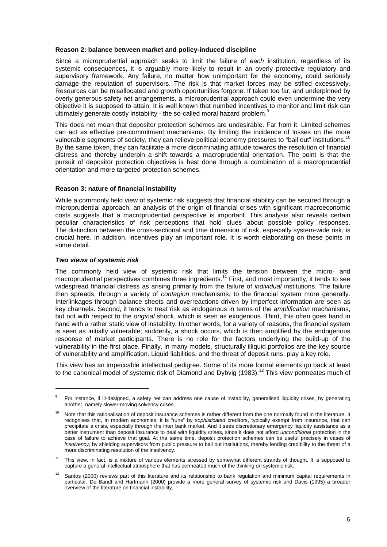#### **Reason 2: balance between market and policy-induced discipline**

Since a microprudential approach seeks to limit the failure of *each* institution, regardless of its systemic consequences, it is arguably more likely to result in an overly protective regulatory and supervisory framework. Any failure, no matter how unimportant for the economy, could seriously damage the reputation of supervisors. The risk is that market forces may be stifled excessively. Resources can be misallocated and growth opportunities forgone. If taken too far, and underpinned by overly generous safety net arrangements, a microprudential approach could even undermine the very objective it is supposed to attain. It is well known that numbed incentives to monitor and limit risk can ultimately generate costly instability - the so-called moral hazard problem.<sup>9</sup>

This does not mean that depositor protection schemes are undesirable. Far from it. Limited schemes can act as effective pre-commitment mechanisms. By limiting the incidence of losses on the more vulnerable segments of society, they can relieve political economy pressures to "bail out" institutions.<sup>10</sup> By the same token, they can facilitate a more discriminating attitude towards the resolution of financial distress and thereby underpin a shift towards a macroprudential orientation. The point is that the pursuit of depositor protection objectives is best done through a combination of a macroprudential orientation and more targeted protection schemes.

#### **Reason 3: nature of financial instability**

While a commonly held view of systemic risk suggests that financial stability can be secured through a microprudential approach, an analysis of the origin of financial crises with significant macroeconomic costs suggests that a macroprudential perspective is important. This analysis also reveals certain peculiar characteristics of risk perceptions that hold clues about possible policy responses. The distinction between the cross-sectional and time dimension of risk, especially system-wide risk, is crucial here. In addition, incentives play an important role. It is worth elaborating on these points in some detail.

#### *Two views of systemic risk*

l

The commonly held view of systemic risk that limits the tension between the micro- and macroprudential perspectives combines three ingredients.<sup>11</sup> First, and most importantly, it tends to see widespread financial distress as arising primarily from the failure of *individual* institutions. The failure then spreads, through a variety of *contagion* mechanisms, to the financial system more generally. Interlinkages through balance sheets and overreactions driven by imperfect information are seen as key channels. Second, it tends to treat risk as endogenous in terms of the *amplification* mechanisms, but not with respect to the *original* shock, which is seen as exogenous. Third, this often goes hand in hand with a rather static view of instability. In other words, for a variety of reasons, the financial system is seen as initially vulnerable; suddenly, a shock occurs, which is then amplified by the endogenous response of market participants. There is no role for the factors underlying the build-up of the vulnerability in the first place. Finally, in many models, structurally illiquid portfolios are the key source of vulnerability and amplification. Liquid liabilities, and the threat of deposit runs, play a key role.

This view has an impeccable intellectual pedigree. Some of its more formal elements go back at least to the canonical model of systemic risk of Diamond and Dybvig (1983).<sup>12</sup> This view permeates much of

<sup>9</sup> For instance, if ill-designed, a safety net can address one cause of instability, generalised liquidity crises, by generating another, namely slower-moving solvency crises.

Note that this rationalisation of deposit insurance schemes is rather different from the one normally found in the literature. It recognises that, in modern economies, it is "runs" by *sophisticated* creditors, typically exempt from insurance, that can precipitate a crisis, especially through the inter bank market. And it sees discretionary emergency liquidity assistance as a better instrument than deposit insurance to deal with liquidity crises, since it does not afford *unconditional* protection in the case of failure to achieve that goal. At the same time, deposit protection schemes can be useful precisely in cases of *insolvency*, by shielding supervisors from public pressure to bail out institutions, thereby lending credibility to the threat of a more discriminating resolution of the insolvency.

<sup>&</sup>lt;sup>11</sup> This view, in fact, is a mixture of various elements stressed by somewhat different strands of thought. It is supposed to capture a general intellectual atmosphere that has permeated much of the thinking on systemic risk.

 $12$  Santos (2000) reviews part of this literature and its relationship to bank regulation and minimum capital requirements in particular. De Bandt and Hartmann (2000) provide a more general survey of systemic risk and Davis (1995) a broader overview of the literature on financial instability.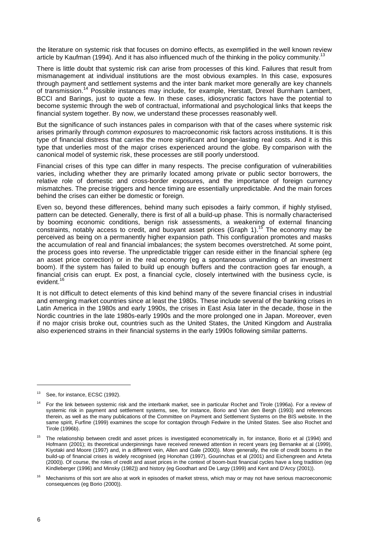the literature on systemic risk that focuses on domino effects, as exemplified in the well known review article by Kaufman (1994). And it has also influenced much of the thinking in the policy community.<sup>13</sup>

There is little doubt that systemic risk *can* arise from processes of this kind. Failures that result from mismanagement at individual institutions are the most obvious examples. In this case, exposures through payment and settlement systems and the inter bank market more generally are key channels of transmission.14 Possible instances may include, for example, Herstatt, Drexel Burnham Lambert, BCCI and Barings, just to quote a few. In these cases, idiosyncratic factors have the potential to become systemic through the web of contractual, informational and psychological links that keeps the financial system together. By now, we understand these processes reasonably well.

But the significance of such instances pales in comparison with that of the cases where systemic risk arises primarily through *common exposures* to macroeconomic risk factors across institutions. It is this type of financial distress that carries the more significant and longer-lasting real costs. And it is this type that underlies most of the major crises experienced around the globe. By comparison with the canonical model of systemic risk, these processes are still poorly understood.

Financial crises of this type can differ in many respects. The precise configuration of vulnerabilities varies, including whether they are primarily located among private or public sector borrowers, the relative role of domestic and cross-border exposures, and the importance of foreign currency mismatches. The precise triggers and hence timing are essentially unpredictable. And the main forces behind the crises can either be domestic or foreign.

Even so, beyond these differences, behind many such episodes a fairly common, if highly stylised, pattern can be detected. Generally, there is first of all a build-up phase. This is normally characterised by booming economic conditions, benign risk assessments, a weakening of external financing constraints, notably access to credit, and buoyant asset prices (Graph 1).<sup>15</sup> The economy may be perceived as being on a permanently higher expansion path. This configuration promotes and masks the accumulation of real and financial imbalances; the system becomes overstretched. At some point, the process goes into reverse. The unpredictable trigger can reside either in the financial sphere (eg an asset price correction) or in the real economy (eg a spontaneous unwinding of an investment boom). If the system has failed to build up enough buffers and the contraction goes far enough, a financial crisis can erupt. Ex post, a financial cycle, closely intertwined with the business cycle, is evident.16

It is not difficult to detect elements of this kind behind many of the severe financial crises in industrial and emerging market countries since at least the 1980s. These include several of the banking crises in Latin America in the 1980s and early 1990s, the crises in East Asia later in the decade, those in the Nordic countries in the late 1980s-early 1990s and the more prolonged one in Japan. Moreover, even if no major crisis broke out, countries such as the United States, the United Kingdom and Australia also experienced strains in their financial systems in the early 1990s following similar patterns.

<sup>&</sup>lt;sup>13</sup> See, for instance, ECSC (1992).

<sup>14</sup> For the link between systemic risk and the interbank market, see in particular Rochet and Tirole (1996a). For a review of systemic risk in payment and settlement systems, see, for instance, Borio and Van den Bergh (1993) and references therein, as well as the many publications of the Committee on Payment and Settlement Systems on the BIS website. In the same spirit, Furfine (1999) examines the scope for contagion through Fedwire in the United States. See also Rochet and Tirole (1996b).

<sup>15</sup> The relationship between credit and asset prices is investigated econometrically in, for instance, Borio et al (1994) and Hofmann (2001); its theoretical underpinnings have received renewed attention in recent years (eg Bernanke at al (1999), Kiyotaki and Moore (1997) and, in a different vein, Allen and Gale (2000)). More generally, the role of credit booms in the build-up of financial crises is widely recognised (eg Honohan (1997), Gourinchas et al (2001) and Eichengreen and Arteta (2000)). Of course, the roles of credit and asset prices in the context of boom-bust financial cycles have a long tradition (eg Kindleberger (1996) and Minsky (1982)) and history (eg Goodhart and De Largy (1999) and Kent and D'Arcy (2001)).

<sup>16</sup> Mechanisms of this sort are also at work in episodes of market stress, which may or may not have serious macroeconomic consequences (eg Borio (2000)).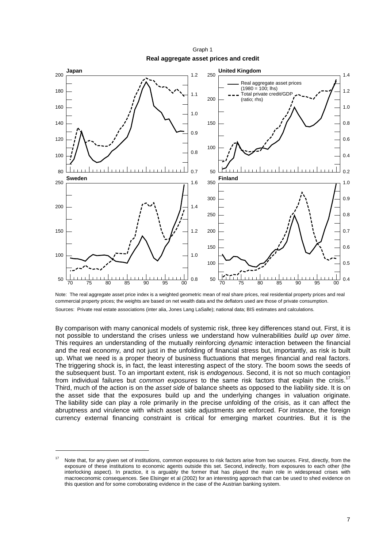Graph 1 **Real aggregate asset prices and credit**



Note: The real aggregate asset price index is a weighted geometric mean of real share prices, real residential property prices and real commercial property prices; the weights are based on net wealth data and the deflators used are those of private consumption. Sources: Private real estate associations (inter alia, Jones Lang LaSalle); national data; BIS estimates and calculations.

By comparison with many canonical models of systemic risk, three key differences stand out. First, it is not possible to understand the crises unless we understand how vulnerabilities *build up over time*. This requires an understanding of the mutually reinforcing *dynamic* interaction between the financial and the real economy, and not just in the unfolding of financial stress but, importantly, as risk is built up. What we need is a proper theory of business fluctuations that merges financial and real factors. The triggering shock is, in fact, the least interesting aspect of the story. The boom sows the seeds of the subsequent bust. To an important extent, risk is *endogenous*. Second, it is not so much contagion from individual failures but *common exposures* to the same risk factors that explain the crisis.<sup>17</sup> Third, much of the action is on the *asset side* of balance sheets as opposed to the liability side. It is on the asset side that the exposures build up and the underlying changes in valuation originate. The liability side can play a role primarily in the precise unfolding of the crisis, as it can affect the abruptness and virulence with which asset side adjustments are enforced. For instance, the foreign currency external financing constraint is critical for emerging market countries. But it is the

<sup>&</sup>lt;sup>17</sup> Note that, for any given set of institutions, common exposures to risk factors arise from two sources. First, directly, from the exposure of these institutions to economic agents outside this set. Second, indirectly, from exposures to each other (the interlocking aspect). In practice, it is arguably the former that has played the main role in widespread crises with macroeconomic consequences. See Elsinger et al (2002) for an interesting approach that can be used to shed evidence on this question and for some corroborating evidence in the case of the Austrian banking system.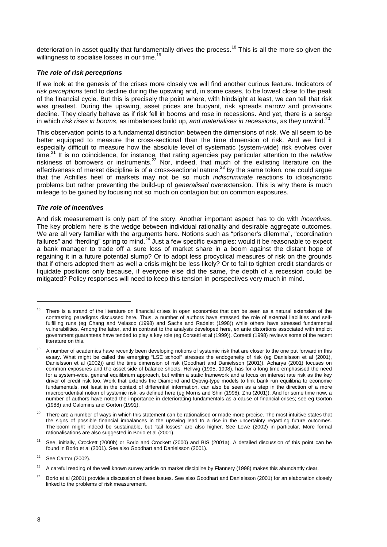deterioration in asset quality that fundamentally drives the process.<sup>18</sup> This is all the more so given the willingness to socialise losses in our time.<sup>19</sup>

#### *The role of risk perceptions*

If we look at the genesis of the crises more closely we will find another curious feature. Indicators of *risk perceptions* tend to decline during the upswing and, in some cases, to be lowest close to the peak of the financial cycle. But this is precisely the point where, with hindsight at least, we can tell that risk was greatest. During the upswing, asset prices are buoyant, risk spreads narrow and provisions decline. They clearly behave as if risk fell in booms and rose in recessions. And yet, there is a sense in which *risk rises in booms*, as imbalances build up, *and materialises in recessions*, as they unwind.<sup>20</sup>

This observation points to a fundamental distinction between the dimensions of risk. We all seem to be better equipped to measure the cross-sectional than the time dimension of risk. And we find it especially difficult to measure how the absolute level of systematic (system-wide) risk evolves over time.21 It is no coincidence, for instance, that rating agencies pay particular attention to the *relative* riskiness of borrowers or instruments.<sup>22</sup> Nor, indeed, that much of the extisting literature on the effectiveness of market discipline is of a cross-sectional nature.<sup>23</sup> By the same token, one could argue that the Achilles heel of markets may not be so much *indiscriminate* reactions to idiosyncratic problems but rather preventing the build-up of *generalised* overextension. This is why there is much mileage to be gained by focusing not so much on contagion but on common exposures.

#### *The role of incentives*

And risk measurement is only part of the story. Another important aspect has to do with *incentives*. The key problem here is the wedge between individual rationality and desirable aggregate outcomes. We are all very familiar with the arguments here. Notions such as "prisoner's dilemma", "coordination failures" and "herding" spring to mind.<sup>24</sup> Just a few specific examples: would it be reasonable to expect a bank manager to trade off a sure loss of market share in a boom against the distant hope of regaining it in a future potential slump? Or to adopt less procyclical measures of risk on the grounds that if others adopted them as well a crisis might be less likely? Or to fail to tighten credit standards or liquidate positions only because, if everyone else did the same, the depth of a recession could be mitigated? Policy responses will need to keep this tension in perspectives very much in mind.

There is a strand of the literature on financial crises in open economies that can be seen as a natural extension of the contrasting paradigms discussed here. Thus, a number of authors have stressed the role of external liabilities and selffulfilling runs (eg Chang and Velasco (1998) and Sachs and Radelet (1998)) while others have stressed fundamental vulnerabilities. Among the latter, and in contrast to the analysis developed here, ex ante distortions associated with implicit government guarantees have tended to play a key role (eg Corsetti et al (1999)). Corsetti (1998) reviews some of the recent literature on this.

<sup>19</sup> A number of academics have recently been developing notions of systemic risk that are closer to the one put forward in this essay. What might be called the emerging "LSE school" stresses the endogeneity of risk (eg Danielsson et al (2001), Danielsson et al (2002)) and the time dimension of risk (Goodhart and Danielsson (2001)). Acharya (2001) focuses on common exposures and the asset side of balance sheets. Hellwig (1995, 1998), has for a long time emphasised the need for a system-wide, general equilibrium approach, but within a static framework and a focus on interest rate risk as the key driver of credit risk too. Work that extends the Diamond and Dybvig-type models to link bank run equilibria to economic fundamentals, not least in the context of differential information, can also be seen as a step in the direction of a more macroprudential notion of systemic risk, as defined here (eg Morris and Shin (1998), Zhu (2001)). And for some time now, a number of authors have noted the importance in deteriorating fundamentals as a cause of financial crises; see eg Gorton (1988) and Calomiris and Gorton (1991).

<sup>&</sup>lt;sup>20</sup> There are a number of ways in which this statement can be rationalised or made more precise. The most intuitive states that the signs of possible financial imbalances in the upswing lead to a rise in the uncertainty regarding future outcomes. The boom might indeed be sustainable, but "tail losses" are also higher. See Lowe (2002) in particular. More formal rationalisations are also suggested in Borio et al (2001).

See, initially, Crockett (2000b) or Borio and Crockett (2000) and BIS (2001a). A detailed discussion of this point can be found in Borio et al (2001). See also Goodhart and Danielsson (2001).

 $22$  See Cantor (2002).

<sup>&</sup>lt;sup>23</sup> A careful reading of the well known survey article on market discipline by Flannery (1998) makes this abundantly clear.

<sup>&</sup>lt;sup>24</sup> Borio et al (2001) provide a discussion of these issues. See also Goodhart and Danielsson (2001) for an elaboration closely linked to the problems of risk measurement.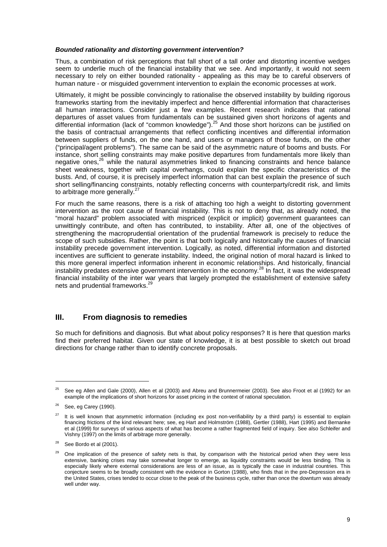#### *Bounded rationality and distorting government intervention?*

Thus, a combination of risk perceptions that fall short of a tall order and distorting incentive wedges seem to underlie much of the financial instability that we see. And importantly, it would not seem necessary to rely on either bounded rationality - appealing as this may be to careful observers of human nature - or misguided government intervention to explain the economic processes at work.

Ultimately, it might be possible convincingly to rationalise the observed instability by building rigorous frameworks starting from the inevitably imperfect and hence differential information that characterises all human interactions. Consider just a few examples. Recent research indicates that rational departures of asset values from fundamentals can be sustained given short horizons of agents and differential information (lack of "common knowledge").<sup>25</sup> And those short horizons can be justified on the basis of contractual arrangements that reflect conflicting incentives and differential information between suppliers of funds, on the one hand, and users or managers of those funds, on the other ("principal/agent problems"). The same can be said of the asymmetric nature of booms and busts. For instance, short selling constraints may make positive departures from fundamentals more likely than negative ones,<sup>26</sup> while the natural asymmetries linked to financing constraints and hence balance sheet weakness, together with capital overhangs, could explain the specific characteristics of the busts. And, of course, it is precisely imperfect information that can best explain the presence of such short selling/financing constraints, notably reflecting concerns with counterparty/credit risk, and limits to arbitrage more generally. $<sup>2</sup>$ </sup>

For much the same reasons, there is a risk of attaching too high a weight to distorting government intervention as the root cause of financial instability. This is not to deny that, as already noted, the "moral hazard" problem associated with mispriced (explicit or implicit) government guarantees can unwittingly contribute, and often has contributed, to instability. After all, one of the objectives of strengthening the macroprudential orientation of the prudential framework is precisely to reduce the scope of such subsidies. Rather, the point is that both logically and historically the causes of financial instability precede government intervention. Logically, as noted, differential information and distorted incentives are sufficient to generate instability. Indeed, the original notion of moral hazard is linked to this more general imperfect information inherent in economic relationships. And historically, financial instability predates extensive government intervention in the economy.<sup>28</sup> In fact, it was the widespread financial instability of the inter war years that largely prompted the establishment of extensive safety nets and prudential frameworks.<sup>2</sup>

## **III. From diagnosis to remedies**

So much for definitions and diagnosis. But what about policy responses? It is here that question marks find their preferred habitat. Given our state of knowledge, it is at best possible to sketch out broad directions for change rather than to identify concrete proposals.

 $25$  See eg Allen and Gale (2000), Allen et al (2003) and Abreu and Brunnermeier (2003). See also Froot et al (1992) for an example of the implications of short horizons for asset pricing in the context of rational speculation.

 $26$  See, eg Carey (1990).

<sup>&</sup>lt;sup>27</sup> It is well known that asymmetric information (including ex post non-verifiability by a third party) is essential to explain financing frictions of the kind relevant here; see, eg Hart and Holmström (1988), Gertler (1988), Hart (1995) and Bernanke et al (1999) for surveys of various aspects of what has become a rather fragmented field of inquiry. See also Schleifer and Vishny (1997) on the limits of arbitrage more generally.

 $28$  See Bordo et al (2001).

<sup>29</sup> One implication of the presence of safety nets is that, by comparison with the historical period when they were less extensive, banking crises may take somewhat longer to emerge, as liquidity constraints would be less binding. This is especially likely where external considerations are less of an issue, as is typically the case in industrial countries. This conjecture seems to be broadly consistent with the evidence in Gorton (1988), who finds that in the pre-Depression era in the United States, crises tended to occur close to the peak of the business cycle, rather than once the downturn was already well under way.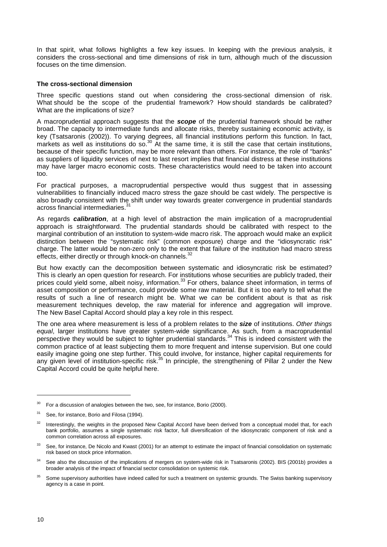In that spirit, what follows highlights a few key issues. In keeping with the previous analysis, it considers the cross-sectional and time dimensions of risk in turn, although much of the discussion focuses on the time dimension.

#### **The cross-sectional dimension**

Three specific questions stand out when considering the cross-sectional dimension of risk. What should be the scope of the prudential framework? How should standards be calibrated? What are the implications of size?

A macroprudential approach suggests that the *scope* of the prudential framework should be rather broad. The capacity to intermediate funds and allocate risks, thereby sustaining economic activity, is key (Tsatsaronis (2002)). To varying degrees, all financial institutions perform this function. In fact, markets as well as institutions do so.<sup>30</sup> At the same time, it is still the case that certain institutions, because of their specific function, may be more relevant than others. For instance, the role of "banks" as suppliers of liquidity services of next to last resort implies that financial distress at these institutions may have larger macro economic costs. These characteristics would need to be taken into account too.

For practical purposes, a macroprudential perspective would thus suggest that in assessing vulnerabilities to financially induced macro stress the gaze should be cast widely. The perspective is also broadly consistent with the shift under way towards greater convergence in prudential standards across financial intermediaries.<sup>31</sup>

As regards *calibration*, at a high level of abstraction the main implication of a macroprudential approach is straightforward. The prudential standards should be calibrated with respect to the marginal contribution of an institution to system-wide macro risk. The approach would make an explicit distinction between the "systematic risk" (common exposure) charge and the "idiosyncratic risk" charge. The latter would be non-zero only to the extent that failure of the institution had macro stress effects, either directly or through knock-on channels.<sup>3</sup>

But how exactly can the decomposition between systematic and idiosyncratic risk be estimated? This is clearly an open question for research. For institutions whose securities are publicly traded, their prices could yield some, albeit noisy, information.<sup>33</sup> For others, balance sheet information, in terms of asset composition or performance, could provide some raw material. But it is too early to tell what the results of such a line of research might be. What we *can* be confident about is that as risk measurement techniques develop, the raw material for inference and aggregation will improve. The New Basel Capital Accord should play a key role in this respect.

The one area where measurement is less of a problem relates to the *size* of institutions. *Other things equal*, larger institutions have greater system-wide significance. As such, from a macroprudential perspective they would be subject to tighter prudential standards.34 This is indeed consistent with the common practice of at least subjecting them to more frequent and intense supervision. But one could easily imagine going one step further. This could involve, for instance, higher capital requirements for any given level of institution-specific risk.<sup>35</sup> In principle, the strengthening of Pillar 2 under the New Capital Accord could be quite helpful here.

 $30$  For a discussion of analogies between the two, see, for instance, Borio (2000).

 $31$  See, for instance, Borio and Filosa (1994).

Interestingly, the weights in the proposed New Capital Accord have been derived from a conceptual model that, for each bank portfolio, assumes a single systematic risk factor, full diversification of the idiosyncratic component of risk and a common correlation across all exposures.

<sup>&</sup>lt;sup>33</sup> See, for instance, De Nicolo and Kwast (2001) for an attempt to estimate the impact of financial consolidation on systematic risk based on stock price information.

<sup>&</sup>lt;sup>34</sup> See also the discussion of the implications of mergers on system-wide risk in Tsatsaronis (2002). BIS (2001b) provides a broader analysis of the impact of financial sector consolidation on systemic risk.

<sup>&</sup>lt;sup>35</sup> Some supervisory authorities have indeed called for such a treatment on systemic grounds. The Swiss banking supervisory agency is a case in point.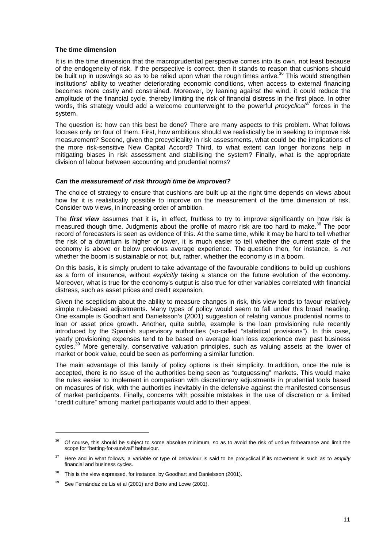#### **The time dimension**

It is in the time dimension that the macroprudential perspective comes into its own, not least because of the endogeneity of risk. If the perspective is correct, then it stands to reason that cushions should be built up in upswings so as to be relied upon when the rough times arrive.<sup>36</sup> This would strengthen institutions' ability to weather deteriorating economic conditions, when access to external financing becomes more costly and constrained. Moreover, by leaning against the wind, it could reduce the amplitude of the financial cycle, thereby limiting the risk of financial distress in the first place. In other words, this strategy would add a welcome counterweight to the powerful *procyclical<sup>37</sup>* forces in the system.

The question is: how can this best be done? There are many aspects to this problem. What follows focuses only on four of them. First, how ambitious should we realistically be in seeking to improve risk measurement? Second, given the procyclicality in risk assessments, what could be the implications of the more risk-sensitive New Capital Accord? Third, to what extent can longer horizons help in mitigating biases in risk assessment and stabilising the system? Finally, what is the appropriate division of labour between accounting and prudential norms?

#### *Can the measurement of risk through time be improved?*

The choice of strategy to ensure that cushions are built up at the right time depends on views about how far it is realistically possible to improve on the measurement of the time dimension of risk. Consider two views, in increasing order of ambition.

The *first view* assumes that it is, in effect, fruitless to try to improve significantly on how risk is measured though time. Judgments about the profile of macro risk are too hard to make.<sup>38</sup> The poor record of forecasters is seen as evidence of this. At the same time, while it may be hard to tell whether the risk of a downturn is higher or lower, it is much easier to tell whether the current state of the economy is above or below previous average experience. The question then, for instance, is *not* whether the boom is sustainable or not, but, rather, whether the economy *is* in a boom.

On this basis, it is simply prudent to take advantage of the favourable conditions to build up cushions as a form of insurance, without *explicitly* taking a stance on the future evolution of the economy. Moreover, what is true for the economy's output is also true for other variables correlated with financial distress, such as asset prices and credit expansion.

Given the scepticism about the ability to measure changes in risk, this view tends to favour relatively simple rule-based adjustments. Many types of policy would seem to fall under this broad heading. One example is Goodhart and Danielsson's (2001) suggestion of relating various prudential norms to loan or asset price growth. Another, quite subtle, example is the loan provisioning rule recently introduced by the Spanish supervisory authorities (so-called "statistical provisions"). In this case, yearly provisioning expenses tend to be based on average loan loss experience over past business cycles.<sup>39</sup> More generally, conservative valuation principles, such as valuing assets at the lower of market or book value, could be seen as performing a similar function.

The main advantage of this family of policy options is their simplicity. In addition, once the rule is accepted, there is no issue of the authorities being seen as "outguessing" markets. This would make the rules easier to implement in comparison with discretionary adjustments in prudential tools based on measures of risk, with the authorities inevitably in the defensive against the manifested consensus of market participants. Finally, concerns with possible mistakes in the use of discretion or a limited "credit culture" among market participants would add to their appeal.

<sup>&</sup>lt;sup>36</sup> Of course, this should be subject to some absolute minimum, so as to avoid the risk of undue forbearance and limit the scope for "betting-for-survival" behaviour.

<sup>37</sup> Here and in what follows, a variable or type of behaviour is said to be procyclical if its movement is such as to *amplify* financial and business cycles.

This is the view expressed, for instance, by Goodhart and Danielsson (2001).

<sup>&</sup>lt;sup>39</sup> See Fernández de Lis et al (2001) and Borio and Lowe (2001).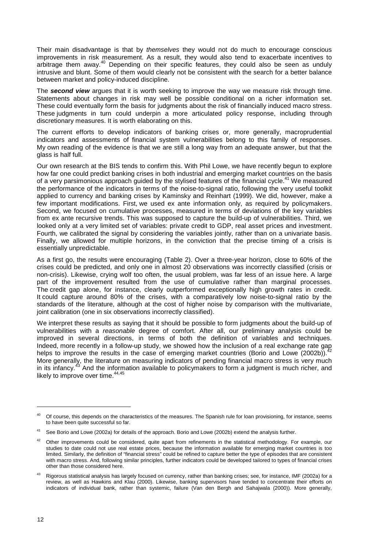Their main disadvantage is that by *themselves* they would not do much to encourage conscious improvements in risk measurement. As a result, they would also tend to exacerbate incentives to arbitrage them away.<sup>40</sup> Depending on their specific features, they could also be seen as unduly intrusive and blunt. Some of them would clearly not be consistent with the search for a better balance between market and policy-induced discipline.

The *second view* argues that it is worth seeking to improve the way we measure risk through time. Statements about changes in risk may well be possible conditional on a richer information set. These could eventually form the basis for judgments about the risk of financially induced macro stress. These judgments in turn could underpin a more articulated policy response, including through discretionary measures. It is worth elaborating on this.

The current efforts to develop indicators of banking crises or, more generally, macroprudential indicators and assessments of financial system vulnerabilities belong to this family of responses. My own reading of the evidence is that we are still a long way from an adequate answer, but that the glass is half full.

Our own research at the BIS tends to confirm this. With Phil Lowe, we have recently begun to explore how far one could predict banking crises in both industrial and emerging market countries on the basis of a very parsimonious approach guided by the stylised features of the financial cycle.<sup>41</sup> We measured the performance of the indicators in terms of the noise-to-signal ratio, following the very useful toolkit applied to currency and banking crises by Kaminsky and Reinhart (1999). We did, however, make a few important modifications. First, we used ex ante information only, as required by policymakers. Second, we focused on cumulative processes, measured in terms of deviations of the key variables from ex ante recursive trends. This was supposed to capture the build-up of vulnerabilities. Third, we looked only at a very limited set of variables: private credit to GDP, real asset prices and investment. Fourth, we calibrated the signal by considering the variables jointly, rather than on a univariate basis. Finally, we allowed for multiple horizons, in the conviction that the precise timing of a crisis is essentially unpredictable.

As a first go, the results were encouraging (Table 2). Over a three-year horizon, close to 60% of the crises could be predicted, and only one in almost 20 observations was incorrectly classified (crisis or non-crisis). Likewise, crying wolf too often, the usual problem, was far less of an issue here. A large part of the improvement resulted from the use of cumulative rather than marginal processes. The credit gap alone, for instance, clearly outperformed exceptionally high growth rates in credit. It could capture around 80% of the crises, with a comparatively low noise-to-signal ratio by the standards of the literature, although at the cost of higher noise by comparison with the multivariate, joint calibration (one in six observations incorrectly classified).

We interpret these results as saying that it should be possible to form judgments about the build-up of vulnerabilities with a *reasonable* degree of comfort. After all, our preliminary analysis could be improved in several directions, in terms of both the definition of variables and techniques. Improved in several directions, in terms of both the seminary commenced of a real exchange rate gap<br>Indeed, more recently in a follow-up study, we showed how the inclusion of a real exchange rate gap helps to improve the results in the case of emerging market countries (Borio and Lowe (2002b)). More generally, the literature on measuring indicators of pending financial macro stress is very much in its infancy.<sup>43</sup> And the information available to policymakers to form a judgment is much richer, and likely to improve over time.<sup>44,45</sup>

<sup>&</sup>lt;sup>40</sup> Of course, this depends on the characteristics of the measures. The Spanish rule for loan provisioning, for instance, seems to have been quite successful so far.

<sup>&</sup>lt;sup>41</sup> See Borio and Lowe (2002a) for details of the approach. Borio and Lowe (2002b) extend the analysis further.

 $42$  Other improvements could be considered, quite apart from refinements in the statistical methodology. For example, our studies to date could not use real estate prices, because the information available for emerging market countries is too limited. Similarly, the definition of "financial stress" could be refined to capture better the type of episodes that are consistent with macro stress. And, following similar principles, further indicators could be developed tailored to types of financial crises other than those considered here.

<sup>43</sup> Rigorous statistical analysis has largely focused on currency, rather than banking crises; see, for instance, IMF (2002a) for a review, as well as Hawkins and Klau (2000). Likewise, banking supervisors have tended to concentrate their efforts on indicators of individual bank, rather than systemic, failure (Van den Bergh and Sahajwala (2000)). More generally,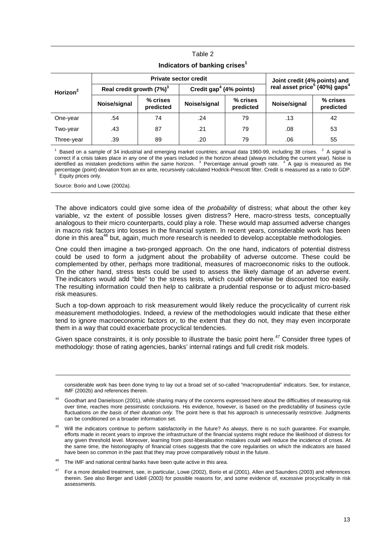| indicators of panking crises |                                                                    |                              |                                                                                       |                       |              |                       |  |  |  |  |  |
|------------------------------|--------------------------------------------------------------------|------------------------------|---------------------------------------------------------------------------------------|-----------------------|--------------|-----------------------|--|--|--|--|--|
|                              |                                                                    | <b>Private sector credit</b> | Joint credit (4% points) and<br>real asset price <sup>5</sup> (40%) gaps <sup>4</sup> |                       |              |                       |  |  |  |  |  |
| Horizon <sup>2</sup>         | Credit gap <sup>4</sup> (4% points)<br>Real credit growth $(7%)^3$ |                              |                                                                                       |                       |              |                       |  |  |  |  |  |
|                              | Noise/signal                                                       | % crises<br>predicted        | Noise/signal                                                                          | % crises<br>predicted | Noise/signal | % crises<br>predicted |  |  |  |  |  |
| One-year                     | .54                                                                | 74                           | .24                                                                                   | 79                    | .13          | 42                    |  |  |  |  |  |
| Two-year                     | .43                                                                | 87                           | .21                                                                                   | 79                    | .08          | 53                    |  |  |  |  |  |
| Three-year                   | .39                                                                | 89                           | .20                                                                                   | 79                    | .06          | 55                    |  |  |  |  |  |

#### Table 2 **Indicators of banking crises1**

1 Based on a sample of 34 industrial and emerging market countries; annual data 1960-99, including 38 crises. <sup>2</sup> A signal is correct if a crisis takes place in any one of the years included in the horizon ahead (always including the current year). Noise is<br>identified as mistaken predictions within the same horizon. <sup>3</sup> Percentage annual growth r percentage (point) deviation from an ex ante, recursively calculated Hodrick-Prescott filter. Credit is measured as a ratio to GDP. Equity prices only.

Source: Borio and Lowe (2002a).

l

The above indicators could give some idea of the *probability* of distress; what about the other key variable, vz the extent of possible losses given distress? Here, macro-stress tests, conceptually analogous to their micro counterparts, could play a role. These would map assumed adverse changes in macro risk factors into losses in the financial system. In recent years, considerable work has been done in this area<sup>46</sup> but, again, much more research is needed to develop acceptable methodologies.

One could then imagine a two-pronged approach. On the one hand, indicators of potential distress could be used to form a judgment about the probability of adverse outcome. These could be complemented by other, perhaps more traditional, measures of macroeconomic risks to the outlook. On the other hand, stress tests could be used to assess the likely damage of an adverse event. The indicators would add "bite" to the stress tests, which could otherwise be discounted too easily. The resulting information could then help to calibrate a prudential response or to adjust micro-based risk measures.

Such a top-down approach to risk measurement would likely reduce the procyclicality of current risk measurement methodologies. Indeed, a review of the methodologies would indicate that these either tend to ignore macroeconomic factors or, to the extent that they do not, they may even incorporate them in a way that could exacerbate procyclical tendencies.

Given space constraints, it is only possible to illustrate the basic point here.<sup>47</sup> Consider three types of methodology: those of rating agencies, banks' internal ratings and full credit risk models.

considerable work has been done trying to lay out a broad set of so-called "macroprudential" indicators. See, for instance, IMF (2002b) and references therein.

<sup>44</sup> Goodhart and Danielsson (2001), while sharing many of the concerns expressed here about the difficulties of measuring risk over time, reaches more pessimistic conclusions. His evidence, however, is based on the predictability of business cycle fluctuations *on the basis of their duration only*. The point here is that his approach is unnecessarily restrictive. Judgments can be conditioned on a broader information set.

Will the indicators continue to perform satisfactorily in the future? As always, there is no such guarantee. For example, efforts made in recent years to improve the infrastructure of the financial systems might reduce the likelihood of distress for any given threshold level. Moreover, learning from post-liberalisation mistakes could well reduce the incidence of crises. At the same time, the historiography of financial crises suggests that the core regularities on which the indicators are based have been so common in the past that they may prove comparatively robust in the future.

 $46$  The IMF and national central banks have been quite active in this area.

<sup>47</sup> For a more detailed treatment, see, in particular, Lowe (2002), Borio et al (2001), Allen and Saunders (2003) and references therein. See also Berger and Udell (2003) for possible reasons for, and some evidence of, excessive procyclicality in risk assessments.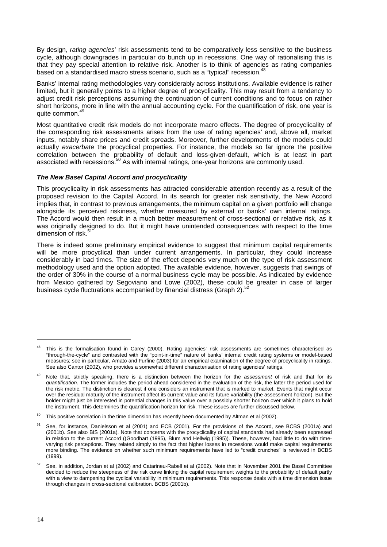By design, *rating agencies*' risk assessments tend to be comparatively less sensitive to the business cycle, although downgrades in particular do bunch up in recessions. One way of rationalising this is that they pay special attention to relative risk. Another is to think of agencies as rating companies based on a standardised macro stress scenario, such as a "typical" recession.<sup>48</sup>

Banks' internal rating methodologies vary considerably across institutions. Available evidence is rather limited, but it generally points to a higher degree of procyclicality. This may result from a tendency to adjust credit risk perceptions assuming the continuation of current conditions and to focus on rather short horizons, more in line with the annual accounting cycle. For the quantification of risk, one year is quite common.<sup>49</sup>

Most quantitative credit risk models do not incorporate macro effects. The degree of procyclicality of the corresponding risk assessments arises from the use of rating agencies' and, above all, market inputs, notably share prices and credit spreads. Moreover, further developments of the models could actually *exacerbate* the procyclical properties. For instance, the models so far ignore the positive correlation between the probability of default and loss-given-default, which is at least in part associated with recessions.<sup>50</sup> As with internal ratings, one-year horizons are commonly used.

#### *The New Basel Capital Accord and procyclicality*

This procyclicality in risk assessments has attracted considerable attention recently as a result of the proposed revision to the Capital Accord. In its search for greater risk sensitivity, the New Accord implies that, in contrast to previous arrangements, the minimum capital on a given portfolio will change alongside its perceived riskiness, whether measured by external or banks' own internal ratings. The Accord would then result in a much better measurement of cross-sectional or relative risk, as it was originally designed to do. But it might have unintended consequences with respect to the time dimension of risk.<sup>5</sup>

There is indeed some preliminary empirical evidence to suggest that minimum capital requirements will be more procyclical than under current arrangements. In particular, they could increase considerably in bad times. The size of the effect depends very much on the type of risk assessment methodology used and the option adopted. The available evidence, however, suggests that swings of the order of 30% in the course of a normal business cycle may be possible. As indicated by evidence from Mexico gathered by Segoviano and Lowe (2002), these could be greater in case of larger business cycle fluctuations accompanied by financial distress (Graph 2).<sup>52</sup>

<sup>&</sup>lt;sup>48</sup> This is the formalisation found in Carey (2000). Rating agencies' risk assessments are sometimes characterised as "through-the-cycle" and contrasted with the "point-in-time" nature of banks' internal credit rating systems or model-based measures; see in particular, Amato and Furfine (2003) for an empirical examination of the degree of procyclicality in ratings. See also Cantor (2002), who provides a somewhat different characterisation of rating agencies' ratings.

<sup>49</sup> Note that, strictly speaking, there is a distinction between the horizon for the *assessment* of risk and that for its *quantification*. The former includes the period ahead considered in the evaluation of the risk, the latter the period used for the risk metric. The distinction is clearest if one considers an instrument that is marked to market. Events that might occur over the residual maturity of the instrument affect its current value and its future variability (the assessment horizon). But the holder might just be interested in potential changes in this value over a possibly shorter horizon over which it plans to hold the instrument. This determines the quantification horizon for risk. These issues are further discussed below.

 $50$  This positive correlation in the time dimension has recently been documented by Altman et al (2002).

<sup>&</sup>lt;sup>51</sup> See, for instance, Danielsson et al (2001) and ECB (2001). For the provisions of the Accord, see BCBS (2001a) and (2001b). See also BIS (2001a). Note that concerns with the procyclicality of capital standards had already been expressed in relation to the current Accord ((Goodhart (1995), Blum and Hellwig (1995)). These, however, had little to do with timevarying risk perceptions. They related simply to the fact that higher losses in recessions would make capital requirements more binding. The evidence on whether such minimum requirements have led to "credit crunches" is reviewed in BCBS (1999).

<sup>52</sup> See, in addition, Jordan et al (2002) and Catarineu-Rabell et al (2002). Note that in November 2001 the Basel Committee decided to reduce the steepness of the risk curve linking the capital requirement weights to the probability of default partly with a view to dampening the cyclical variability in minimum requirements. This response deals with a time dimension issue through changes in cross-sectional calibration. BCBS (2001b).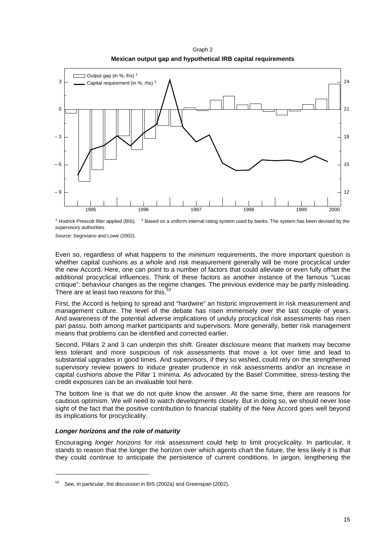Graph 2 **Mexican output gap and hypothetical IRB capital requirements**



 $1$  Hodrick Prescott filter applied (BIS).  $2$  Based on a uniform internal rating system used by banks. The system has been devised by the supervisory authorities.

Source: Segoviano and Lowe (2002).

Even so, regardless of what happens to the *minimum* requirements, the more important question is whether capital cushions *as a whole* and risk measurement generally will be more procyclical under the new Accord. Here, one can point to a number of factors that could alleviate or even fully offset the additional procyclical influences. Think of these factors as another instance of the famous "Lucas critique": behaviour changes as the regime changes. The previous evidence may be partly misleading. There are at least two reasons for this.

First, the Accord is helping to spread and "hardwire" an historic improvement in risk measurement and management culture. The level of the debate has risen immensely over the last couple of years. And awareness of the potential adverse implications of unduly procyclical risk assessments has risen pari passu, both among market participants and supervisors. More generally, better risk management means that problems can be identified and corrected earlier.

Second, Pillars 2 and 3 can underpin this shift. Greater disclosure means that markets may become less tolerant and more suspicious of risk assessments that move a lot over time and lead to substantial upgrades in good times. And supervisors, if they so wished, could rely on the strengthened supervisory review powers to induce greater prudence in risk assessments and/or an increase in capital cushions above the Pillar 1 minima. As advocated by the Basel Committee, stress-testing the credit exposures can be an invaluable tool here.

The bottom line is that we do not quite know the answer. At the same time, there are reasons for cautious optimism. We will need to watch developments closely. But in doing so, we should never lose sight of the fact that the positive contribution to financial stability of the New Accord goes well beyond its implications for procyclicality.

#### *Longer horizons and the role of maturity*

l

Encouraging *longer horizons* for risk assessment could help to limit procyclicality. In particular, it stands to reason that the longer the horizon over which agents chart the future, the less likely it is that they could continue to anticipate the persistence of current conditions. In jargon, lengthening the

<sup>&</sup>lt;sup>53</sup> See, in particular, the discussion in BIS (2002a) and Greenspan (2002).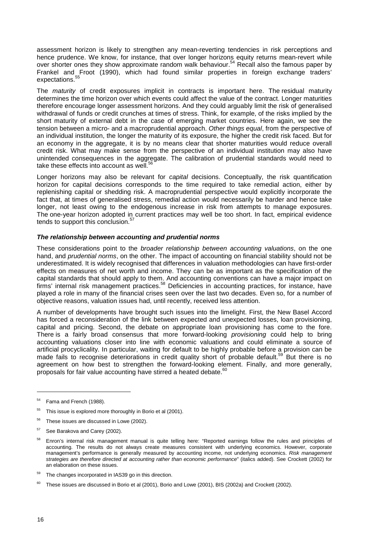assessment horizon is likely to strengthen any mean-reverting tendencies in risk perceptions and hence prudence. We know, for instance, that over longer horizons equity returns mean-revert while over shorter ones they show approximate random walk behaviour.<sup>54</sup> Recall also the famous paper by Frankel and Froot (1990), which had found similar properties in foreign exchange traders' expectations.<sup>55</sup>

The *maturity* of credit exposures implicit in contracts is important here. The residual maturity determines the time horizon over which events could affect the value of the contract. Longer maturities therefore encourage longer assessment horizons. And they could arguably limit the risk of generalised withdrawal of funds or credit crunches at times of stress. Think, for example, of the risks implied by the short maturity of external debt in the case of emerging market countries. Here again, we see the tension between a micro- and a macroprudential approach. *Other things equal*, from the perspective of an individual institution, the longer the maturity of its exposure, the higher the credit risk faced. But for an economy in the aggregate, it is by no means clear that shorter maturities would reduce overall credit risk. What may make sense from the perspective of an individual institution may also have unintended consequences in the aggregate. The calibration of prudential standards would need to take these effects into account as well.<sup>5</sup>

Longer horizons may also be relevant for *capital* decisions. Conceptually, the risk quantification horizon for capital decisions corresponds to the time required to take remedial action, either by replenishing capital or shedding risk. A macroprudential perspective would explicitly incorporate the fact that, at times of generalised stress, remedial action would necessarily be harder and hence take longer, not least owing to the endogenous increase in risk from attempts to manage exposures. The one-year horizon adopted in current practices may well be too short. In fact, empirical evidence tends to support this conclusion.<sup>57</sup>

#### *The relationship between accounting and prudential norms*

These considerations point to the *broader relationship between accounting valuations*, on the one hand, and *prudential norms*, on the other. The impact of accounting on financial stability should not be underestimated. It is widely recognised that differences in valuation methodologies can have first-order effects on measures of net worth and income. They can be as important as the specification of the capital standards that should apply to them. And accounting conventions can have a major impact on firms' internal risk management practices.<sup>58</sup> Deficiencies in accounting practices, for instance, have played a role in many of the financial crises seen over the last two decades. Even so, for a number of objective reasons, valuation issues had, until recently, received less attention.

A number of developments have brought such issues into the limelight. First, the New Basel Accord has forced a reconsideration of the link between expected and unexpected losses, loan provisioning, capital and pricing. Second, the debate on appropriate loan provisioning has come to the fore. There is a fairly broad consensus that more forward-looking *provisioning* could help to bring accounting valuations closer into line with economic valuations and could eliminate a source of artificial procyclicality. In particular, waiting for default to be highly probable before a provision can be made fails to recognise deteriorations in credit quality short of probable default.<sup>59</sup> But there is no agreement on how best to strengthen the forward-looking element. Finally, and more generally, proposals for fair value accounting have stirred a heated debate.<sup>60</sup>

<sup>&</sup>lt;sup>54</sup> Fama and French (1988).

 $55$  This issue is explored more thoroughly in Borio et al (2001).

<sup>&</sup>lt;sup>56</sup> These issues are discussed in Lowe (2002).

<sup>57</sup> See Barakova and Carey (2002).

<sup>&</sup>lt;sup>58</sup> Enron's internal risk management manual is quite telling here: "Reported earnings follow the rules and principles of accounting. The results do not always create measures consistent with underlying economics. However, corporate management's performance is generally measured by accounting income, not underlying economics. *Risk management strategies are therefore directed at accounting rather than economic performance*" (italics added). See Crockett (2002) for an elaboration on these issues.

 $59$  The changes incorporated in IAS39 go in this direction.

These issues are discussed in Borio et al (2001), Borio and Lowe (2001), BIS (2002a) and Crockett (2002).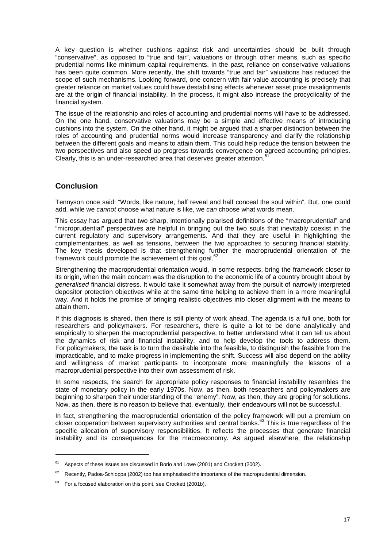A key question is whether cushions against risk and uncertainties should be built through "conservative", as opposed to "true and fair", valuations or through other means, such as specific prudential norms like minimum capital requirements. In the past, reliance on conservative valuations has been quite common. More recently, the shift towards "true and fair" valuations has reduced the scope of such mechanisms. Looking forward, one concern with fair value accounting is precisely that greater reliance on market values could have destabilising effects whenever asset price misalignments are at the origin of financial instability. In the process, it might also increase the procyclicality of the financial system.

The issue of the relationship and roles of accounting and prudential norms will have to be addressed. On the one hand, conservative valuations may be a simple and effective means of introducing cushions into the system. On the other hand, it might be argued that a sharper distinction between the roles of accounting and prudential norms would increase transparency and clarify the relationship between the different goals and means to attain them. This could help reduce the tension between the two perspectives and also speed up progress towards convergence on agreed accounting principles. Clearly, this is an under-researched area that deserves greater attention.

## **Conclusion**

l

Tennyson once said: "Words, like nature, half reveal and half conceal the soul within". But, one could add, while we *cannot* choose what nature is like, we *can* choose what words mean.

This essay has argued that two sharp, intentionally polarised definitions of the "macroprudential" and "microprudential" perspectives are helpful in bringing out the two souls that inevitably coexist in the current regulatory and supervisory arrangements. And that they are useful in highlighting the complementarities, as well as tensions, between the two approaches to securing financial stability. The key thesis developed is that strengthening further the macroprudential orientation of the framework could promote the achievement of this goal.<sup>62</sup>

Strengthening the macroprudential orientation would, in some respects, bring the framework closer to its origin, when the main concern was the disruption to the economic life of a country brought about by *generalised* financial distress. It would take it somewhat away from the pursuit of narrowly interpreted depositor protection objectives while at the same time helping to achieve them in a more meaningful way. And it holds the promise of bringing realistic objectives into closer alignment with the means to attain them.

If this diagnosis is shared, then there is still plenty of work ahead. The agenda is a full one, both for researchers and policymakers. For researchers, there is quite a lot to be done analytically and empirically to sharpen the macroprudential perspective, to better understand what it can tell us about the dynamics of risk and financial instability, and to help develop the tools to address them. For policymakers, the task is to turn the desirable into the feasible, to distinguish the feasible from the impracticable, and to make progress in implementing the shift. Success will also depend on the ability and willingness of market participants to incorporate more meaningfully the lessons of a macroprudential perspective into their own assessment of risk.

In some respects, the search for appropriate policy responses to financial instability resembles the state of monetary policy in the early 1970s. Now, as then, both researchers and policymakers are beginning to sharpen their understanding of the "enemy". Now, as then, they are groping for solutions. Now, as then, there is no reason to believe that, eventually, their endeavours will not be successful.

In fact, strengthening the macroprudential orientation of the policy framework will put a premium on closer cooperation between supervisory authorities and central banks.<sup>63</sup> This is true regardless of the specific allocation of supervisory responsibilities. It reflects the processes that generate financial instability and its consequences for the macroeconomy. As argued elsewhere, the relationship

 $61$  Aspects of these issues are discussed in Borio and Lowe (2001) and Crockett (2002).

Recently, Padoa-Schioppa (2002) too has emphasised the importance of the macroprudential dimension.

 $63$  For a focused elaboration on this point, see Crockett (2001b).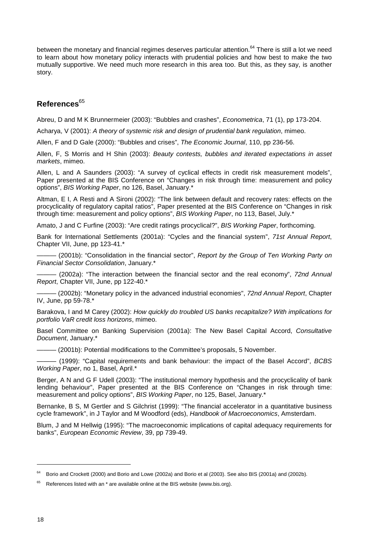between the monetary and financial regimes deserves particular attention.<sup>64</sup> There is still a lot we need to learn about how monetary policy interacts with prudential policies and how best to make the two mutually supportive. We need much more research in this area too. But this, as they say, is another story.

## **References**<sup>65</sup>

Abreu, D and M K Brunnermeier (2003): "Bubbles and crashes", *Econometrica*, 71 (1), pp 173-204.

Acharya, V (2001): *A theory of systemic risk and design of prudential bank regulation*, mimeo.

Allen, F and D Gale (2000): "Bubbles and crises", *The Economic Journal*, 110, pp 236-56.

Allen, F, S Morris and H Shin (2003): *Beauty contests, bubbles and iterated expectations in asset markets*, mimeo.

Allen, L and A Saunders (2003): "A survey of cyclical effects in credit risk measurement models", Paper presented at the BIS Conference on "Changes in risk through time: measurement and policy options", *BIS Working Paper*, no 126, Basel, January.\*

Altman, E I, A Resti and A Sironi (2002): "The link between default and recovery rates: effects on the procyclicality of regulatory capital ratios", Paper presented at the BIS Conference on "Changes in risk through time: measurement and policy options", *BIS Working Paper*, no 113, Basel, July.\*

Amato, J and C Furfine (2003): "Are credit ratings procyclical?", *BIS Working Paper*, forthcoming.

Bank for International Settlements (2001a): "Cycles and the financial system", *71st Annual Report*, Chapter VII, June, pp 123-41.\*

——— (2001b): "Consolidation in the financial sector", *Report by the Group of Ten Working Party on Financial Sector Consolidation*, January.\*

——— (2002a): "The interaction between the financial sector and the real economy", *72nd Annual Report*, Chapter VII, June, pp 122-40.\*

——— (2002b): "Monetary policy in the advanced industrial economies", *72nd Annual Report*, Chapter IV, June, pp 59-78.\*

Barakova, I and M Carey (2002): *How quickly do troubled US banks recapitalize? With implications for portfolio VaR credit loss horizons*, mimeo.

Basel Committee on Banking Supervision (2001a): The New Basel Capital Accord, *Consultative Document*, January.\*

——— (2001b): Potential modifications to the Committee's proposals, 5 November.

——— (1999): "Capital requirements and bank behaviour: the impact of the Basel Accord", *BCBS Working Paper*, no 1, Basel, April.\*

Berger, A N and G F Udell (2003): "The institutional memory hypothesis and the procyclicality of bank lending behaviour", Paper presented at the BIS Conference on "Changes in risk through time: measurement and policy options", *BIS Working Paper*, no 125, Basel, January.\*

Bernanke, B S, M Gertler and S Gilchrist (1999): "The financial accelerator in a quantitative business cycle framework", in J Taylor and M Woodford (eds), *Handbook of Macroeconomics*, Amsterdam.

Blum, J and M Hellwig (1995): "The macroeconomic implications of capital adequacy requirements for banks", *European Economic Review*, 39, pp 739-49.

 $64$  Borio and Crockett (2000) and Borio and Lowe (2002a) and Borio et al (2003). See also BIS (2001a) and (2002b).

 $65$  References listed with an  $*$  are available online at the BIS website (www.bis.org).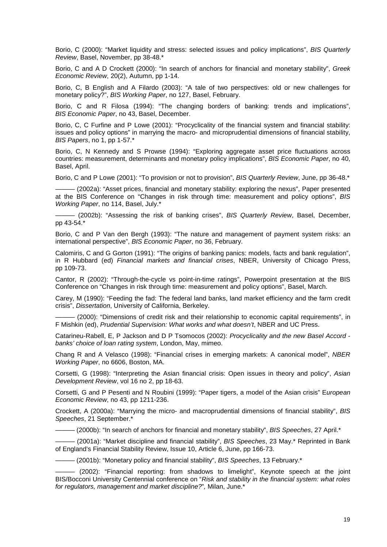Borio, C (2000): "Market liquidity and stress: selected issues and policy implications", *BIS Quarterly Review*, Basel, November, pp 38-48.\*

Borio, C and A D Crockett (2000): "In search of anchors for financial and monetary stability", *Greek Economic Review*, 20(2), Autumn, pp 1-14.

Borio, C, B English and A Filardo (2003): "A tale of two perspectives: old or new challenges for monetary policy?", *BIS Working Paper*, no 127, Basel, February.

Borio, C and R Filosa (1994): "The changing borders of banking: trends and implications", *BIS Economic Paper*, no 43, Basel, December.

Borio, C, C Furfine and P Lowe (2001): "Procyclicality of the financial system and financial stability: issues and policy options" in marrying the macro- and microprudential dimensions of financial stability, *BIS Papers*, no 1, pp 1-57.\*

Borio, C, N Kennedy and S Prowse (1994): "Exploring aggregate asset price fluctuations across countries: measurement, determinants and monetary policy implications", *BIS Economic Paper*, no 40, Basel, April.

Borio, C and P Lowe (2001): "To provision or not to provision", *BIS Quarterly Review*, June, pp 36-48.\*

——— (2002a): "Asset prices, financial and monetary stability: exploring the nexus", Paper presented at the BIS Conference on "Changes in risk through time: measurement and policy options", *BIS Working Paper*, no 114, Basel, July.\*

——— (2002b): "Assessing the risk of banking crises", *BIS Quarterly Review*, Basel, December, pp 43-54.\*

Borio, C and P Van den Bergh (1993): "The nature and management of payment system risks: an international perspective", *BIS Economic Paper*, no 36, February.

Calomiris, C and G Gorton (1991): "The origins of banking panics: models, facts and bank regulation", in R Hubbard (ed) *Financial markets and financial crises*, NBER, University of Chicago Press, pp 109-73.

Cantor, R (2002): "Through-the-cycle vs point-in-time ratings", Powerpoint presentation at the BIS Conference on "Changes in risk through time: measurement and policy options", Basel, March.

Carey, M (1990): "Feeding the fad: The federal land banks, land market efficiency and the farm credit crisis", *Dissertation*, University of California, Berkeley.

——— (2000): "Dimensions of credit risk and their relationship to economic capital requirements", in F Mishkin (ed), *Prudential Supervision: What works and what doesn't*, NBER and UC Press.

Catarineu-Rabell, E, P Jackson and D P Tsomocos (2002): *Procyclicality and the new Basel Accord banks' choice of loan rating system*, London, May, mimeo.

Chang R and A Velasco (1998): "Financial crises in emerging markets: A canonical model", *NBER Working Paper*, no 6606, Boston, MA.

Corsetti, G (1998): "Interpreting the Asian financial crisis: Open issues in theory and policy", *Asian Development Review*, vol 16 no 2, pp 18-63.

Corsetti, G and P Pesenti and N Roubini (1999): "Paper tigers, a model of the Asian crisis" E*uropean Economic Review*, no 43, pp 1211-236.

Crockett, A (2000a): "Marrying the micro- and macroprudential dimensions of financial stability", *BIS Speeches*, 21 September.\*

——— (2000b): "In search of anchors for financial and monetary stability", *BIS Speeches*, 27 April.\*

(2001a): "Market discipline and financial stability", *BIS Speeches*, 23 May.\* Reprinted in Bank of England's Financial Stability Review, Issue 10, Article 6, June, pp 166-73.

——— (2001b): "Monetary policy and financial stability", *BIS Speeches*, 13 February.\*

——— (2002): "Financial reporting: from shadows to limelight", Keynote speech at the joint BIS/Bocconi University Centennial conference on "*Risk and stability in the financial system: what roles for regulators, management and market discipline?*"*,* Milan, June.\*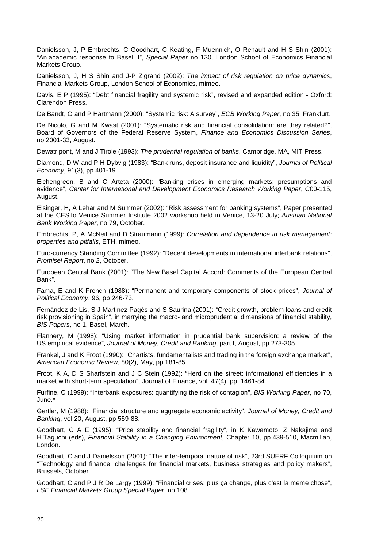Danielsson, J, P Embrechts, C Goodhart, C Keating, F Muennich, O Renault and H S Shin (2001): "An academic response to Basel II", *Special Paper* no 130, London School of Economics Financial Markets Group.

Danielsson, J, H S Shin and J-P Zigrand (2002): *The impact of risk regulation on price dynamics*, Financial Markets Group, London School of Economics, mimeo.

Davis, E P (1995): "Debt financial fragility and systemic risk", revised and expanded edition - Oxford: Clarendon Press.

De Bandt, O and P Hartmann (2000): "Systemic risk: A survey", *ECB Working Paper*, no 35, Frankfurt.

De Nicolo, G and M Kwast (2001): "Systematic risk and financial consolidation: are they related?", Board of Governors of the Federal Reserve System, *Finance and Economics Discussion Series*, no 2001-33, August.

Dewatripont, M and J Tirole (1993): *The prudential regulation of banks*, Cambridge, MA, MIT Press.

Diamond, D W and P H Dybvig (1983): "Bank runs, deposit insurance and liquidity", *Journal of Political Economy*, 91(3), pp 401-19.

Eichengreen, B and C Arteta (2000): "Banking crises in emerging markets: presumptions and evidence", *Center for International and Development Economics Research Working Paper*, C00-115, August.

Elsinger, H, A Lehar and M Summer (2002): "Risk assessment for banking systems", Paper presented at the CESifo Venice Summer Institute 2002 workshop held in Venice, 13-20 July; *Austrian National Bank Working Paper*, no 79, October.

Embrechts, P, A McNeil and D Straumann (1999): *Correlation and dependence in risk management: properties and pitfalls*, ETH, mimeo.

Euro-currency Standing Committee (1992): "Recent developments in international interbank relations", *Promisel Report*, no 2, October.

European Central Bank (2001): "The New Basel Capital Accord: Comments of the European Central Bank".

Fama, E and K French (1988): "Permanent and temporary components of stock prices", *Journal of Political Economy*, 96, pp 246-73.

Fernández de Lis, S J Martinez Pagés and S Saurina (2001): "Credit growth, problem loans and credit risk provisioning in Spain", in marrying the macro- and microprudential dimensions of financial stability, *BIS Papers*, no 1, Basel, March.

Flannery, M (1998): "Using market information in prudential bank supervision: a review of the US empirical evidence", *Journal of Money, Credit and Banking*, part I, August, pp 273-305.

Frankel, J and K Froot (1990): "Chartists, fundamentalists and trading in the foreign exchange market", *American Economic Review*, 80(2), May, pp 181-85.

Froot, K A, D S Sharfstein and J C Stein (1992): "Herd on the street: informational efficiencies in a market with short-term speculation", Journal of Finance, vol. 47(4), pp. 1461-84.

Furfine, C (1999): "Interbank exposures: quantifying the risk of contagion", *BIS Working Paper*, no 70, June.\*

Gertler, M (1988): "Financial structure and aggregate economic activity", *Journal of Money, Credit and Banking*, vol 20, August, pp 559-88.

Goodhart, C A E (1995): "Price stability and financial fragility", in K Kawamoto, Z Nakajima and H Taguchi (eds), *Financial Stability in a Changing Environment*, Chapter 10, pp 439-510, Macmillan, London.

Goodhart, C and J Danielsson (2001): "The inter-temporal nature of risk", 23rd SUERF Colloquium on "Technology and finance: challenges for financial markets, business strategies and policy makers", Brussels, October.

Goodhart, C and P J R De Largy (1999); "Financial crises: plus ca change, plus c'est la meme chose", *LSE Financial Markets Group Special Paper*, no 108.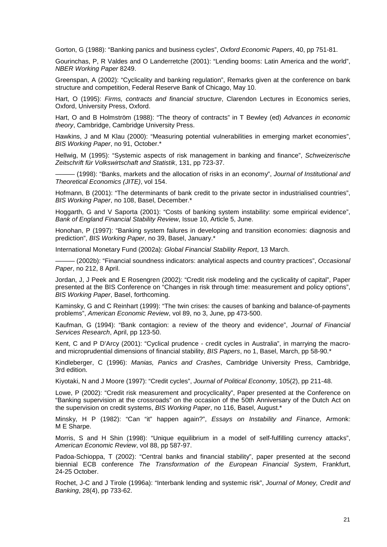Gorton, G (1988): "Banking panics and business cycles", *Oxford Economic Papers*, 40, pp 751-81.

Gourinchas, P, R Valdes and O Landerretche (2001): "Lending booms: Latin America and the world", *NBER Working Paper* 8249.

Greenspan, A (2002): "Cyclicality and banking regulation", Remarks given at the conference on bank structure and competition, Federal Reserve Bank of Chicago, May 10.

Hart, O (1995): *Firms, contracts and financial structure*, Clarendon Lectures in Economics series, Oxford, University Press, Oxford.

Hart, O and B Holmström (1988): "The theory of contracts" in T Bewley (ed) *Advances in economic theory*, Cambridge, Cambridge University Press.

Hawkins, J and M Klau (2000): "Measuring potential vulnerabilities in emerging market economies", *BIS Working Paper*, no 91, October.\*

Hellwig, M (1995): "Systemic aspects of risk management in banking and finance", *Schweizerische Zeitschrift für Volkswirtschaft and Statistik*, 131, pp 723-37.

——— (1998): "Banks, markets and the allocation of risks in an economy", *Journal of Institutional and Theoretical Economics (JITE)*, vol 154.

Hofmann, B (2001): "The determinants of bank credit to the private sector in industrialised countries", *BIS Working Paper*, no 108, Basel, December.\*

Hoggarth, G and V Saporta (2001): "Costs of banking system instability: some empirical evidence", *Bank of England Financial Stability Review*, Issue 10, Article 5, June.

Honohan, P (1997): "Banking system failures in developing and transition economies: diagnosis and prediction", *BIS Working Paper*, no 39, Basel, January.\*

International Monetary Fund (2002a): *Global Financial Stability Report*, 13 March.

——— (2002b): "Financial soundness indicators: analytical aspects and country practices", *Occasional Paper*, no 212, 8 April.

Jordan, J, J Peek and E Rosengren (2002): "Credit risk modeling and the cyclicality of capital", Paper presented at the BIS Conference on "Changes in risk through time: measurement and policy options", *BIS Working Paper*, Basel, forthcoming.

Kaminsky, G and C Reinhart (1999): "The twin crises: the causes of banking and balance-of-payments problems", *American Economic Review*, vol 89, no 3, June, pp 473-500.

Kaufman, G (1994): "Bank contagion: a review of the theory and evidence", *Journal of Financial Services Research*, April, pp 123-50.

Kent, C and P D'Arcy (2001): "Cyclical prudence - credit cycles in Australia", in marrying the macroand microprudential dimensions of financial stability, *BIS Papers*, no 1, Basel, March, pp 58-90.\*

Kindleberger, C (1996): *Manias, Panics and Crashes*, Cambridge University Press, Cambridge, 3rd edition.

Kiyotaki, N and J Moore (1997): "Credit cycles", *Journal of Political Economy*, 105(2), pp 211-48.

Lowe, P (2002): "Credit risk measurement and procyclicality", Paper presented at the Conference on "Banking supervision at the crossroads" on the occasion of the 50th Anniversary of the Dutch Act on the supervision on credit systems, *BIS Working Paper*, no 116, Basel, August.\*

Minsky, H P (1982): "Can "it" happen again?", *Essays on Instability and Finance*, Armonk: M E Sharpe.

Morris, S and H Shin (1998): "Unique equilibrium in a model of self-fulfilling currency attacks", *American Economic Review*, vol 88, pp 587-97.

Padoa-Schioppa, T (2002): "Central banks and financial stability", paper presented at the second biennial ECB conference *The Transformation of the European Financial System*, Frankfurt, 24-25 October.

Rochet, J-C and J Tirole (1996a): "Interbank lending and systemic risk", *Journal of Money, Credit and Banking*, 28(4), pp 733-62.